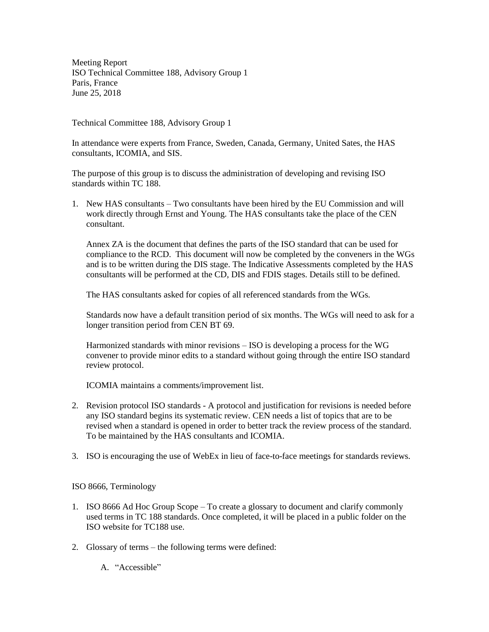Meeting Report ISO Technical Committee 188, Advisory Group 1 Paris, France June 25, 2018

Technical Committee 188, Advisory Group 1

In attendance were experts from France, Sweden, Canada, Germany, United Sates, the HAS consultants, ICOMIA, and SIS.

The purpose of this group is to discuss the administration of developing and revising ISO standards within TC 188.

1. New HAS consultants – Two consultants have been hired by the EU Commission and will work directly through Ernst and Young. The HAS consultants take the place of the CEN consultant.

Annex ZA is the document that defines the parts of the ISO standard that can be used for compliance to the RCD. This document will now be completed by the conveners in the WGs and is to be written during the DIS stage. The Indicative Assessments completed by the HAS consultants will be performed at the CD, DIS and FDIS stages. Details still to be defined.

The HAS consultants asked for copies of all referenced standards from the WGs.

Standards now have a default transition period of six months. The WGs will need to ask for a longer transition period from CEN BT 69.

Harmonized standards with minor revisions – ISO is developing a process for the WG convener to provide minor edits to a standard without going through the entire ISO standard review protocol.

ICOMIA maintains a comments/improvement list.

- 2. Revision protocol ISO standards A protocol and justification for revisions is needed before any ISO standard begins its systematic review. CEN needs a list of topics that are to be revised when a standard is opened in order to better track the review process of the standard. To be maintained by the HAS consultants and ICOMIA.
- 3. ISO is encouraging the use of WebEx in lieu of face-to-face meetings for standards reviews.

ISO 8666, Terminology

- 1. ISO 8666 Ad Hoc Group Scope To create a glossary to document and clarify commonly used terms in TC 188 standards. Once completed, it will be placed in a public folder on the ISO website for TC188 use.
- 2. Glossary of terms the following terms were defined:

A. "Accessible"